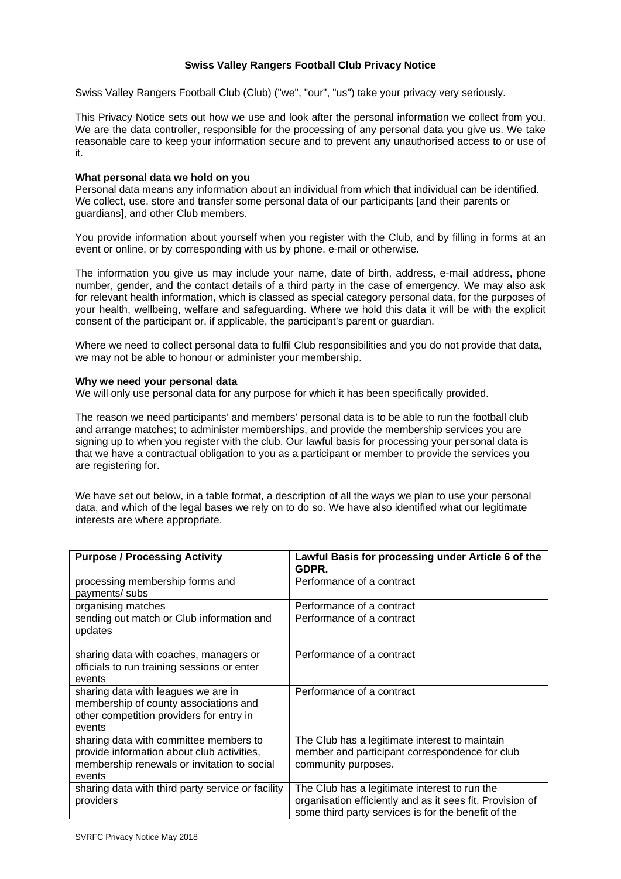# **Swiss Valley Rangers Football Club Privacy Notice**

Swiss Valley Rangers Football Club (Club) ("we", "our", "us") take your privacy very seriously.

This Privacy Notice sets out how we use and look after the personal information we collect from you. We are the data controller, responsible for the processing of any personal data you give us. We take reasonable care to keep your information secure and to prevent any unauthorised access to or use of it.

#### **What personal data we hold on you**

Personal data means any information about an individual from which that individual can be identified. We collect, use, store and transfer some personal data of our participants [and their parents or guardians], and other Club members.

You provide information about yourself when you register with the Club, and by filling in forms at an event or online, or by corresponding with us by phone, e-mail or otherwise.

The information you give us may include your name, date of birth, address, e-mail address, phone number, gender, and the contact details of a third party in the case of emergency. We may also ask for relevant health information, which is classed as special category personal data, for the purposes of your health, wellbeing, welfare and safeguarding. Where we hold this data it will be with the explicit consent of the participant or, if applicable, the participant's parent or guardian.

Where we need to collect personal data to fulfil Club responsibilities and you do not provide that data, we may not be able to honour or administer your membership.

#### **Why we need your personal data**

We will only use personal data for any purpose for which it has been specifically provided.

The reason we need participants' and members' personal data is to be able to run the football club and arrange matches; to administer memberships, and provide the membership services you are signing up to when you register with the club. Our lawful basis for processing your personal data is that we have a contractual obligation to you as a participant or member to provide the services you are registering for.

We have set out below, in a table format, a description of all the ways we plan to use your personal data, and which of the legal bases we rely on to do so. We have also identified what our legitimate interests are where appropriate.

| <b>Purpose / Processing Activity</b>                                                                                                          | Lawful Basis for processing under Article 6 of the<br>GDPR.                                                                                                       |
|-----------------------------------------------------------------------------------------------------------------------------------------------|-------------------------------------------------------------------------------------------------------------------------------------------------------------------|
| processing membership forms and<br>payments/ subs                                                                                             | Performance of a contract                                                                                                                                         |
| organising matches                                                                                                                            | Performance of a contract                                                                                                                                         |
| sending out match or Club information and<br>updates                                                                                          | Performance of a contract                                                                                                                                         |
| sharing data with coaches, managers or<br>officials to run training sessions or enter<br>events                                               | Performance of a contract                                                                                                                                         |
| sharing data with leagues we are in<br>membership of county associations and<br>other competition providers for entry in<br>events            | Performance of a contract                                                                                                                                         |
| sharing data with committee members to<br>provide information about club activities,<br>membership renewals or invitation to social<br>events | The Club has a legitimate interest to maintain<br>member and participant correspondence for club<br>community purposes.                                           |
| sharing data with third party service or facility<br>providers                                                                                | The Club has a legitimate interest to run the<br>organisation efficiently and as it sees fit. Provision of<br>some third party services is for the benefit of the |